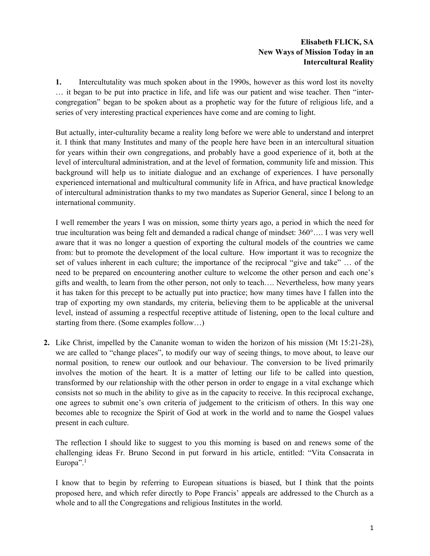# **Elisabeth FLICK, SA New Ways of Mission Today in an Intercultural Reality**

**1.** Intercultutality was much spoken about in the 1990s, however as this word lost its novelty … it began to be put into practice in life, and life was our patient and wise teacher. Then "intercongregation" began to be spoken about as a prophetic way for the future of religious life, and a series of very interesting practical experiences have come and are coming to light.

But actually, inter-culturality became a reality long before we were able to understand and interpret it. I think that many Institutes and many of the people here have been in an intercultural situation for years within their own congregations, and probably have a good experience of it, both at the level of intercultural administration, and at the level of formation, community life and mission. This background will help us to initiate dialogue and an exchange of experiences. I have personally experienced international and multicultural community life in Africa, and have practical knowledge of intercultural administration thanks to my two mandates as Superior General, since I belong to an international community.

I well remember the years I was on mission, some thirty years ago, a period in which the need for true inculturation was being felt and demanded a radical change of mindset: 360°…. I was very well aware that it was no longer a question of exporting the cultural models of the countries we came from: but to promote the development of the local culture. How important it was to recognize the set of values inherent in each culture; the importance of the reciprocal "give and take" … of the need to be prepared on encountering another culture to welcome the other person and each one's gifts and wealth, to learn from the other person, not only to teach…. Nevertheless, how many years it has taken for this precept to be actually put into practice; how many times have I fallen into the trap of exporting my own standards, my criteria, believing them to be applicable at the universal level, instead of assuming a respectful receptive attitude of listening, open to the local culture and starting from there. (Some examples follow…)

**2.** Like Christ, impelled by the Cananite woman to widen the horizon of his mission (Mt 15:21-28), we are called to "change places", to modify our way of seeing things, to move about, to leave our normal position, to renew our outlook and our behaviour. The conversion to be lived primarily involves the motion of the heart. It is a matter of letting our life to be called into question, transformed by our relationship with the other person in order to engage in a vital exchange which consists not so much in the ability to give as in the capacity to receive. In this reciprocal exchange, one agrees to submit one's own criteria of judgement to the criticism of others. In this way one becomes able to recognize the Spirit of God at work in the world and to name the Gospel values present in each culture.

The reflection I should like to suggest to you this morning is based on and renews some of the challenging ideas Fr. Bruno Second in put forward in his article, entitled: "Vita Consacrata in Europa".<sup>1</sup>

I know that to begin by referring to European situations is biased, but I think that the points proposed here, and which refer directly to Pope Francis' appeals are addressed to the Church as a whole and to all the Congregations and religious Institutes in the world.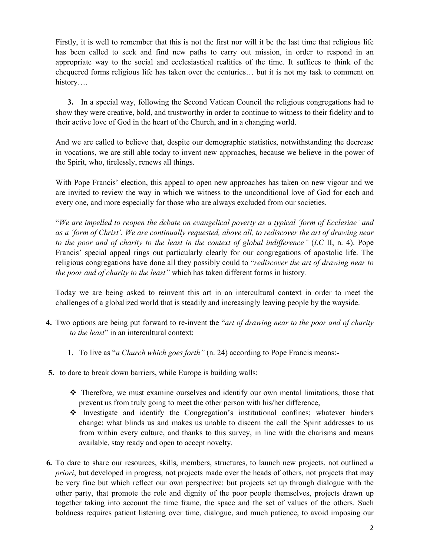Firstly, it is well to remember that this is not the first nor will it be the last time that religious life has been called to seek and find new paths to carry out mission, in order to respond in an appropriate way to the social and ecclesiastical realities of the time. It suffices to think of the chequered forms religious life has taken over the centuries… but it is not my task to comment on history….

**3.** In a special way, following the Second Vatican Council the religious congregations had to show they were creative, bold, and trustworthy in order to continue to witness to their fidelity and to their active love of God in the heart of the Church, and in a changing world.

And we are called to believe that, despite our demographic statistics, notwithstanding the decrease in vocations, we are still able today to invent new approaches, because we believe in the power of the Spirit, who, tirelessly, renews all things.

With Pope Francis' election, this appeal to open new approaches has taken on new vigour and we are invited to review the way in which we witness to the unconditional love of God for each and every one, and more especially for those who are always excluded from our societies.

"*We are impelled to reopen the debate on evangelical poverty as a typical 'form of Ecclesiae' and as a 'form of Christ'. We are continually requested, above all, to rediscover the art of drawing near to the poor and of charity to the least in the context of global indifference"* (*LC* II, n. 4). Pope Francis' special appeal rings out particularly clearly for our congregations of apostolic life. The religious congregations have done all they possibly could to "*rediscover the art of drawing near to the poor and of charity to the least"* which has taken different forms in history*.*

Today we are being asked to reinvent this art in an intercultural context in order to meet the challenges of a globalized world that is steadily and increasingly leaving people by the wayside.

- **4.** Two options are being put forward to re-invent the "*art of drawing near to the poor and of charity to the least*" in an intercultural context:
	- 1. To live as "*a Church which goes forth"* (n. 24) according to Pope Francis means:-
- **5.** to dare to break down barriers, while Europe is building walls:
	- $\hat{\mathbf{v}}$  Therefore, we must examine ourselves and identify our own mental limitations, those that prevent us from truly going to meet the other person with his/her difference,
	- Investigate and identify the Congregation's institutional confines; whatever hinders change; what blinds us and makes us unable to discern the call the Spirit addresses to us from within every culture, and thanks to this survey, in line with the charisms and means available, stay ready and open to accept novelty.
- **6.** To dare to share our resources, skills, members, structures, to launch new projects, not outlined *a priori*, but developed in progress, not projects made over the heads of others, not projects that may be very fine but which reflect our own perspective: but projects set up through dialogue with the other party, that promote the role and dignity of the poor people themselves, projects drawn up together taking into account the time frame, the space and the set of values of the others. Such boldness requires patient listening over time, dialogue, and much patience, to avoid imposing our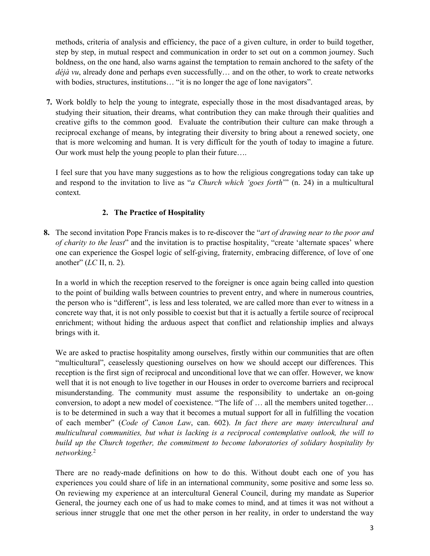methods, criteria of analysis and efficiency, the pace of a given culture, in order to build together, step by step, in mutual respect and communication in order to set out on a common journey. Such boldness, on the one hand, also warns against the temptation to remain anchored to the safety of the *déjà vu*, already done and perhaps even successfully… and on the other, to work to create networks with bodies, structures, institutions... "it is no longer the age of lone navigators".

**7.** Work boldly to help the young to integrate, especially those in the most disadvantaged areas, by studying their situation, their dreams, what contribution they can make through their qualities and creative gifts to the common good. Evaluate the contribution their culture can make through a reciprocal exchange of means, by integrating their diversity to bring about a renewed society, one that is more welcoming and human. It is very difficult for the youth of today to imagine a future. Our work must help the young people to plan their future….

I feel sure that you have many suggestions as to how the religious congregations today can take up and respond to the invitation to live as "*a Church which 'goes forth*'" (n. 24) in a multicultural context.

# **2. The Practice of Hospitality**

**8.** The second invitation Pope Francis makes is to re-discover the "*art of drawing near to the poor and of charity to the least*" and the invitation is to practise hospitality, "create 'alternate spaces' where one can experience the Gospel logic of self-giving, fraternity, embracing difference, of love of one another" (*LC* II, n. 2).

In a world in which the reception reserved to the foreigner is once again being called into question to the point of building walls between countries to prevent entry, and where in numerous countries, the person who is "different", is less and less tolerated, we are called more than ever to witness in a concrete way that, it is not only possible to coexist but that it is actually a fertile source of reciprocal enrichment; without hiding the arduous aspect that conflict and relationship implies and always brings with it.

We are asked to practise hospitality among ourselves, firstly within our communities that are often "multicultural", ceaselessly questioning ourselves on how we should accept our differences. This reception is the first sign of reciprocal and unconditional love that we can offer. However, we know well that it is not enough to live together in our Houses in order to overcome barriers and reciprocal misunderstanding. The community must assume the responsibility to undertake an on-going conversion, to adopt a new model of coexistence. "The life of … all the members united together… is to be determined in such a way that it becomes a mutual support for all in fulfilling the vocation of each member" (*Code of Canon Law*, can. 602). *In fact there are many intercultural and multicultural communities, but what is lacking is a reciprocal contemplative outlook, the will to build up the Church together, the commitment to become laboratories of solidary hospitality by networking.*<sup>2</sup>

There are no ready-made definitions on how to do this. Without doubt each one of you has experiences you could share of life in an international community, some positive and some less so. On reviewing my experience at an intercultural General Council, during my mandate as Superior General, the journey each one of us had to make comes to mind, and at times it was not without a serious inner struggle that one met the other person in her reality, in order to understand the way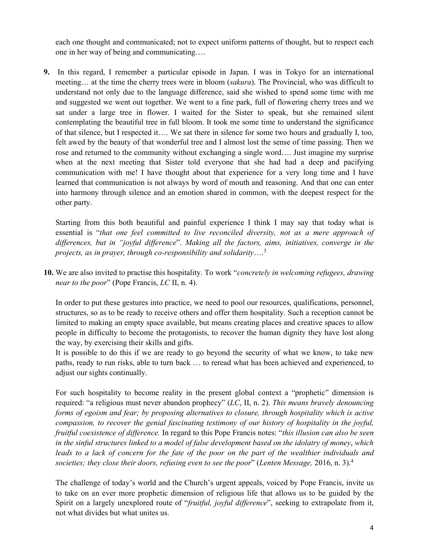each one thought and communicated; not to expect uniform patterns of thought, but to respect each one in her way of being and communicating….

**9.** In this regard, I remember a particular episode in Japan. I was in Tokyo for an international meeting… at the time the cherry trees were in bloom (*sakura*). The Provincial, who was difficult to understand not only due to the language difference, said she wished to spend some time with me and suggested we went out together. We went to a fine park, full of flowering cherry trees and we sat under a large tree in flower. I waited for the Sister to speak, but she remained silent contemplating the beautiful tree in full bloom. It took me some time to understand the significance of that silence, but I respected it…. We sat there in silence for some two hours and gradually I, too, felt awed by the beauty of that wonderful tree and I almost lost the sense of time passing. Then we rose and returned to the community without exchanging a single word…. Just imagine my surprise when at the next meeting that Sister told everyone that she had had a deep and pacifying communication with me! I have thought about that experience for a very long time and I have learned that communication is not always by word of mouth and reasoning. And that one can enter into harmony through silence and an emotion shared in common, with the deepest respect for the other party.

Starting from this both beautiful and painful experience I think I may say that today what is essential is "*that one feel committed to live reconciled diversity, not as a mere approach of differences, but in "joyful difference*". *Making all the factors, aims, initiatives, converge in the projects, as in prayer, through co-responsibility and solidarity*…. 3

**10.** We are also invited to practise this hospitality. To work "*concretely in welcoming refugees, drawing near to the poor*" (Pope Francis, *LC* II, n. 4).

In order to put these gestures into practice, we need to pool our resources, qualifications, personnel, structures, so as to be ready to receive others and offer them hospitality. Such a reception cannot be limited to making an empty space available, but means creating places and creative spaces to allow people in difficulty to become the protagonists, to recover the human dignity they have lost along the way, by exercising their skills and gifts.

It is possible to do this if we are ready to go beyond the security of what we know, to take new paths, ready to run risks, able to turn back … to reread what has been achieved and experienced, to adjust our sights continually.

For such hospitality to become reality in the present global context a "prophetic" dimension is required: "a religious must never abandon prophecy" (*LC*, II, n. 2). *This means bravely denouncing forms of egoism and fear; by proposing alternatives to closure, through hospitality which is active compassion, to recover the genial fascinating testimony of our history of hospitality in the joyful, fruitful coexistence of difference.* In regard to this Pope Francis notes: "*this illusion can also be seen in the sinful structures linked to a model of false development based on the idolatry of money*, *which*  leads to a lack of concern for the fate of the poor on the part of the wealthier *individuals* and *societies; they close their doors, refusing even to see the poor*" (*Lenten Message,* 2016, n. 3). 4

The challenge of today's world and the Church's urgent appeals, voiced by Pope Francis, invite us to take on an ever more prophetic dimension of religious life that allows us to be guided by the Spirit on a largely unexplored route of "*fruitful, joyful difference*", seeking to extrapolate from it, not what divides but what unites us.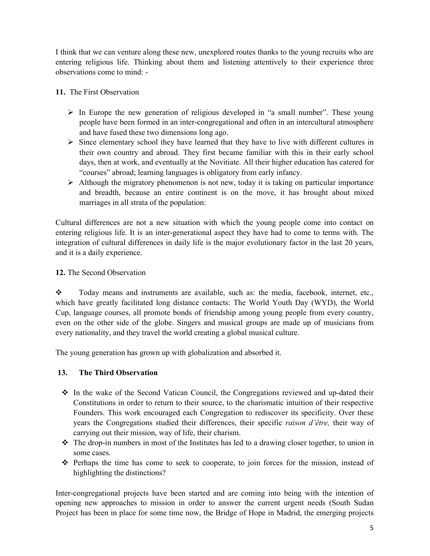I think that we can venture along these new, unexplored routes thanks to the young recruits who are entering religious life. Thinking about them and listening attentively to their experience three observations come to mind: -

- **11.** The First Observation
	- $\triangleright$  In Europe the new generation of religious developed in "a small number". These young people have been formed in an inter-congregational and often in an intercultural atmosphere and have fused these two dimensions long ago.
	- $\triangleright$  Since elementary school they have learned that they have to live with different cultures in their own country and abroad. They first became familiar with this in their early school days, then at work, and eventually at the Novitiate. All their higher education has catered for "courses" abroad; learning languages is obligatory from early infancy.
	- $\triangleright$  Although the migratory phenomenon is not new, today it is taking on particular importance and breadth, because an entire continent is on the move, it has brought about mixed marriages in all strata of the population:

Cultural differences are not a new situation with which the young people come into contact on entering religious life. It is an inter-generational aspect they have had to come to terms with. The integration of cultural differences in daily life is the major evolutionary factor in the last 20 years, and it is a daily experience.

# **12.** The Second Observation

\* Today means and instruments are available, such as: the media, facebook, internet, etc., which have greatly facilitated long distance contacts: The World Youth Day (WYD), the World Cup, language courses, all promote bonds of friendship among young people from every country, even on the other side of the globe. Singers and musical groups are made up of musicians from every nationality, and they travel the world creating a global musical culture.

The young generation has grown up with globalization and absorbed it.

# **13. The Third Observation**

- $\cdot \cdot$  In the wake of the Second Vatican Council, the Congregations reviewed and up-dated their Constitutions in order to return to their source, to the charismatic intuition of their respective Founders. This work encouraged each Congregation to rediscover its specificity. Over these years the Congregations studied their differences, their specific *raison d'être,* their way of carrying out their mission, way of life, their charism.
- $\hat{\cdot}$  The drop-in numbers in most of the Institutes has led to a drawing closer together, to union in some cases.
- Perhaps the time has come to seek to cooperate, to join forces for the mission, instead of highlighting the distinctions?

Inter-congregational projects have been started and are coming into being with the intention of opening new approaches to mission in order to answer the current urgent needs (South Sudan Project has been in place for some time now, the Bridge of Hope in Madrid, the emerging projects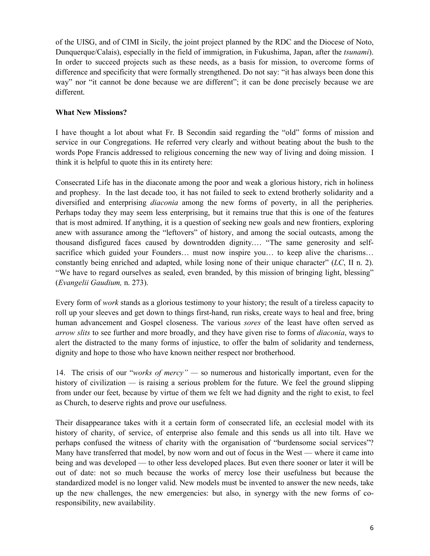of the UISG, and of CIMI in Sicily, the joint project planned by the RDC and the Diocese of Noto, Dunquerque/Calais), especially in the field of immigration, in Fukushima, Japan, after the *tsunami*). In order to succeed projects such as these needs, as a basis for mission, to overcome forms of difference and specificity that were formally strengthened. Do not say: "it has always been done this way" nor "it cannot be done because we are different"; it can be done precisely because we are different.

# **What New Missions?**

I have thought a lot about what Fr. B Secondin said regarding the "old" forms of mission and service in our Congregations. He referred very clearly and without beating about the bush to the words Pope Francis addressed to religious concerning the new way of living and doing mission. I think it is helpful to quote this in its entirety here:

Consecrated Life has in the diaconate among the poor and weak a glorious history, rich in holiness and prophesy. In the last decade too, it has not failed to seek to extend brotherly solidarity and a diversified and enterprising *diaconia* among the new forms of poverty, in all the peripheries. Perhaps today they may seem less enterprising, but it remains true that this is one of the features that is most admired. If anything, it is a question of seeking new goals and new frontiers, exploring anew with assurance among the "leftovers" of history, and among the social outcasts, among the thousand disfigured faces caused by downtrodden dignity.… "The same generosity and selfsacrifice which guided your Founders… must now inspire you… to keep alive the charisms... constantly being enriched and adapted, while losing none of their unique character" (*LC*, II n. 2). "We have to regard ourselves as sealed, even branded, by this mission of bringing light, blessing" (*Evangelii Gaudium,* n. 273).

Every form of *work* stands as a glorious testimony to your history; the result of a tireless capacity to roll up your sleeves and get down to things first-hand, run risks, create ways to heal and free, bring human advancement and Gospel closeness. The various *sores* of the least have often served as *arrow slits* to see further and more broadly, and they have given rise to forms of *diaconia*, ways to alert the distracted to the many forms of injustice, to offer the balm of solidarity and tenderness, dignity and hope to those who have known neither respect nor brotherhood.

14. The crisis of our "*works of mercy" —* so numerous and historically important, even for the history of civilization — is raising a serious problem for the future. We feel the ground slipping from under our feet, because by virtue of them we felt we had dignity and the right to exist, to feel as Church, to deserve rights and prove our usefulness.

Their disappearance takes with it a certain form of consecrated life, an ecclesial model with its history of charity, of service, of enterprise also female and this sends us all into tilt. Have we perhaps confused the witness of charity with the organisation of "burdensome social services"? Many have transferred that model, by now worn and out of focus in the West — where it came into being and was developed — to other less developed places. But even there sooner or later it will be out of date: not so much because the works of mercy lose their usefulness but because the standardized model is no longer valid. New models must be invented to answer the new needs, take up the new challenges, the new emergencies: but also, in synergy with the new forms of coresponsibility, new availability.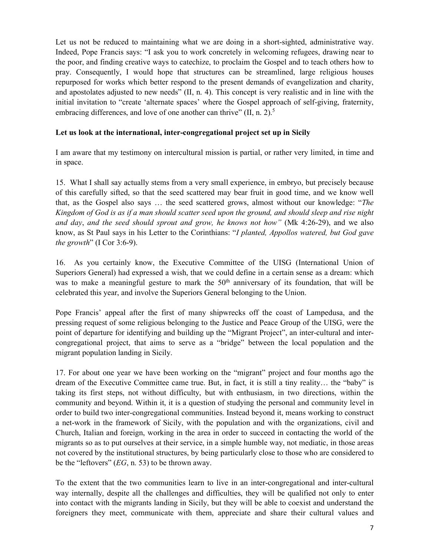Let us not be reduced to maintaining what we are doing in a short-sighted, administrative way. Indeed, Pope Francis says: "I ask you to work concretely in welcoming refugees, drawing near to the poor, and finding creative ways to catechize, to proclaim the Gospel and to teach others how to pray. Consequently, I would hope that structures can be streamlined, large religious houses repurposed for works which better respond to the present demands of evangelization and charity, and apostolates adjusted to new needs" (II, n. 4). This concept is very realistic and in line with the initial invitation to "create 'alternate spaces' where the Gospel approach of self-giving, fraternity, embracing differences, and love of one another can thrive" (II, n. 2).<sup>5</sup>

#### **Let us look at the international, inter-congregational project set up in Sicily**

I am aware that my testimony on intercultural mission is partial, or rather very limited, in time and in space.

15. What I shall say actually stems from a very small experience, in embryo, but precisely because of this carefully sifted, so that the seed scattered may bear fruit in good time, and we know well that, as the Gospel also says … the seed scattered grows, almost without our knowledge: "*The Kingdom of God is as if a man should scatter seed upon the ground, and should sleep and rise night and day*, *and the seed should sprout and grow, he knows not how"* (Mk 4:26-29), and we also know, as St Paul says in his Letter to the Corinthians: "*I planted, Appollos watered, but God gave the growth*" (I Cor 3:6-9).

16. As you certainly know, the Executive Committee of the UISG (International Union of Superiors General) had expressed a wish, that we could define in a certain sense as a dream: which was to make a meaningful gesture to mark the  $50<sup>th</sup>$  anniversary of its foundation, that will be celebrated this year, and involve the Superiors General belonging to the Union.

Pope Francis' appeal after the first of many shipwrecks off the coast of Lampedusa, and the pressing request of some religious belonging to the Justice and Peace Group of the UISG, were the point of departure for identifying and building up the "Migrant Project", an inter-cultural and intercongregational project, that aims to serve as a "bridge" between the local population and the migrant population landing in Sicily.

17. For about one year we have been working on the "migrant" project and four months ago the dream of the Executive Committee came true. But, in fact, it is still a tiny reality… the "baby" is taking its first steps, not without difficulty, but with enthusiasm, in two directions, within the community and beyond. Within it, it is a question of studying the personal and community level in order to build two inter-congregational communities. Instead beyond it, means working to construct a net-work in the framework of Sicily, with the population and with the organizations, civil and Church, Italian and foreign, working in the area in order to succeed in contacting the world of the migrants so as to put ourselves at their service, in a simple humble way, not mediatic, in those areas not covered by the institutional structures, by being particularly close to those who are considered to be the "leftovers" (*EG*, n. 53) to be thrown away.

To the extent that the two communities learn to live in an inter-congregational and inter-cultural way internally, despite all the challenges and difficulties, they will be qualified not only to enter into contact with the migrants landing in Sicily, but they will be able to coexist and understand the foreigners they meet, communicate with them, appreciate and share their cultural values and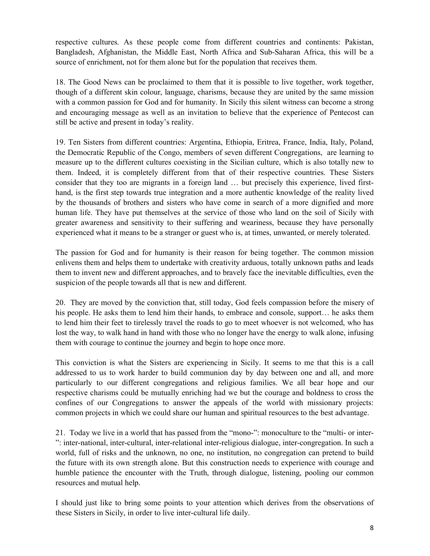respective cultures. As these people come from different countries and continents: Pakistan, Bangladesh, Afghanistan, the Middle East, North Africa and Sub-Saharan Africa, this will be a source of enrichment, not for them alone but for the population that receives them.

18. The Good News can be proclaimed to them that it is possible to live together, work together, though of a different skin colour, language, charisms, because they are united by the same mission with a common passion for God and for humanity. In Sicily this silent witness can become a strong and encouraging message as well as an invitation to believe that the experience of Pentecost can still be active and present in today's reality.

19. Ten Sisters from different countries: Argentina, Ethiopia, Eritrea, France, India, Italy, Poland, the Democratic Republic of the Congo, members of seven different Congregations, are learning to measure up to the different cultures coexisting in the Sicilian culture, which is also totally new to them. Indeed, it is completely different from that of their respective countries. These Sisters consider that they too are migrants in a foreign land … but precisely this experience, lived firsthand, is the first step towards true integration and a more authentic knowledge of the reality lived by the thousands of brothers and sisters who have come in search of a more dignified and more human life. They have put themselves at the service of those who land on the soil of Sicily with greater awareness and sensitivity to their suffering and weariness, because they have personally experienced what it means to be a stranger or guest who is, at times, unwanted, or merely tolerated.

The passion for God and for humanity is their reason for being together. The common mission enlivens them and helps them to undertake with creativity arduous, totally unknown paths and leads them to invent new and different approaches, and to bravely face the inevitable difficulties, even the suspicion of the people towards all that is new and different.

20. They are moved by the conviction that, still today, God feels compassion before the misery of his people. He asks them to lend him their hands, to embrace and console, support… he asks them to lend him their feet to tirelessly travel the roads to go to meet whoever is not welcomed, who has lost the way, to walk hand in hand with those who no longer have the energy to walk alone, infusing them with courage to continue the journey and begin to hope once more.

This conviction is what the Sisters are experiencing in Sicily. It seems to me that this is a call addressed to us to work harder to build communion day by day between one and all, and more particularly to our different congregations and religious families. We all bear hope and our respective charisms could be mutually enriching had we but the courage and boldness to cross the confines of our Congregations to answer the appeals of the world with missionary projects: common projects in which we could share our human and spiritual resources to the best advantage.

21. Today we live in a world that has passed from the "mono-": monoculture to the "multi- or inter- ": inter-national, inter-cultural, inter-relational inter-religious dialogue, inter-congregation. In such a world, full of risks and the unknown, no one, no institution, no congregation can pretend to build the future with its own strength alone. But this construction needs to experience with courage and humble patience the encounter with the Truth, through dialogue, listening, pooling our common resources and mutual help.

I should just like to bring some points to your attention which derives from the observations of these Sisters in Sicily, in order to live inter-cultural life daily.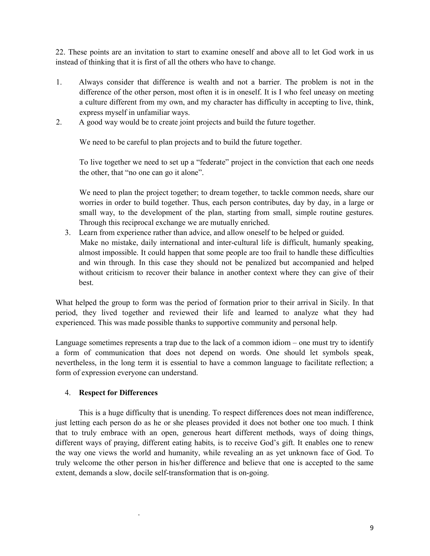22. These points are an invitation to start to examine oneself and above all to let God work in us instead of thinking that it is first of all the others who have to change.

- 1. Always consider that difference is wealth and not a barrier. The problem is not in the difference of the other person, most often it is in oneself. It is I who feel uneasy on meeting a culture different from my own, and my character has difficulty in accepting to live, think, express myself in unfamiliar ways.
- 2. A good way would be to create joint projects and build the future together.

We need to be careful to plan projects and to build the future together.

To live together we need to set up a "federate" project in the conviction that each one needs the other, that "no one can go it alone".

We need to plan the project together; to dream together, to tackle common needs, share our worries in order to build together. Thus, each person contributes, day by day, in a large or small way, to the development of the plan, starting from small, simple routine gestures. Through this reciprocal exchange we are mutually enriched.

3. Learn from experience rather than advice, and allow oneself to be helped or guided. Make no mistake, daily international and inter-cultural life is difficult, humanly speaking, almost impossible. It could happen that some people are too frail to handle these difficulties and win through. In this case they should not be penalized but accompanied and helped without criticism to recover their balance in another context where they can give of their best.

What helped the group to form was the period of formation prior to their arrival in Sicily. In that period, they lived together and reviewed their life and learned to analyze what they had experienced. This was made possible thanks to supportive community and personal help.

Language sometimes represents a trap due to the lack of a common idiom – one must try to identify a form of communication that does not depend on words. One should let symbols speak, nevertheless, in the long term it is essential to have a common language to facilitate reflection; a form of expression everyone can understand.

#### 4. **Respect for Differences**

.

This is a huge difficulty that is unending. To respect differences does not mean indifference, just letting each person do as he or she pleases provided it does not bother one too much. I think that to truly embrace with an open, generous heart different methods, ways of doing things, different ways of praying, different eating habits, is to receive God's gift. It enables one to renew the way one views the world and humanity, while revealing an as yet unknown face of God. To truly welcome the other person in his/her difference and believe that one is accepted to the same extent, demands a slow, docile self-transformation that is on-going.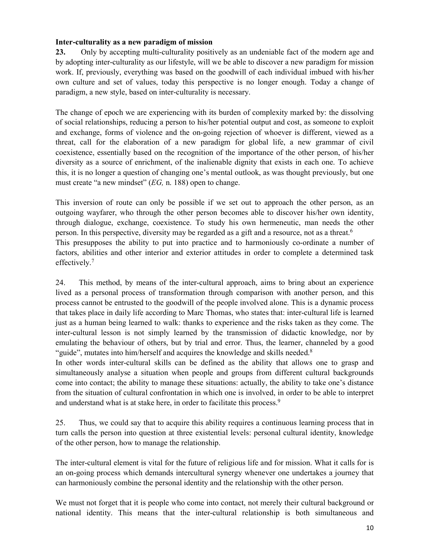#### **Inter-culturality as a new paradigm of mission**

**23.** Only by accepting multi-culturality positively as an undeniable fact of the modern age and by adopting inter-culturality as our lifestyle, will we be able to discover a new paradigm for mission work. If, previously, everything was based on the goodwill of each individual imbued with his/her own culture and set of values, today this perspective is no longer enough. Today a change of paradigm, a new style, based on inter-culturality is necessary.

The change of epoch we are experiencing with its burden of complexity marked by: the dissolving of social relationships, reducing a person to his/her potential output and cost, as someone to exploit and exchange, forms of violence and the on-going rejection of whoever is different, viewed as a threat, call for the elaboration of a new paradigm for global life, a new grammar of civil coexistence, essentially based on the recognition of the importance of the other person, of his/her diversity as a source of enrichment, of the inalienable dignity that exists in each one. To achieve this, it is no longer a question of changing one's mental outlook, as was thought previously, but one must create "a new mindset" (*EG,* n. 188) open to change.

This inversion of route can only be possible if we set out to approach the other person, as an outgoing wayfarer, who through the other person becomes able to discover his/her own identity, through dialogue, exchange, coexistence. To study his own hermeneutic, man needs the other person. In this perspective, diversity may be regarded as a gift and a resource, not as a threat. 6 This presupposes the ability to put into practice and to harmoniously co-ordinate a number of factors, abilities and other interior and exterior attitudes in order to complete a determined task effectively.7

24. This method, by means of the inter-cultural approach, aims to bring about an experience lived as a personal process of transformation through comparison with another person, and this process cannot be entrusted to the goodwill of the people involved alone. This is a dynamic process that takes place in daily life according to Marc Thomas, who states that: inter-cultural life is learned just as a human being learned to walk: thanks to experience and the risks taken as they come. The inter-cultural lesson is not simply learned by the transmission of didactic knowledge, nor by emulating the behaviour of others, but by trial and error. Thus, the learner, channeled by a good "guide", mutates into him/herself and acquires the knowledge and skills needed.<sup>8</sup>

In other words inter-cultural skills can be defined as the ability that allows one to grasp and simultaneously analyse a situation when people and groups from different cultural backgrounds come into contact; the ability to manage these situations: actually, the ability to take one's distance from the situation of cultural confrontation in which one is involved, in order to be able to interpret and understand what is at stake here, in order to facilitate this process.<sup>9</sup>

25. Thus, we could say that to acquire this ability requires a continuous learning process that in turn calls the person into question at three existential levels: personal cultural identity, knowledge of the other person, how to manage the relationship.

The inter-cultural element is vital for the future of religious life and for mission. What it calls for is an on-going process which demands intercultural synergy whenever one undertakes a journey that can harmoniously combine the personal identity and the relationship with the other person.

We must not forget that it is people who come into contact, not merely their cultural background or national identity. This means that the inter-cultural relationship is both simultaneous and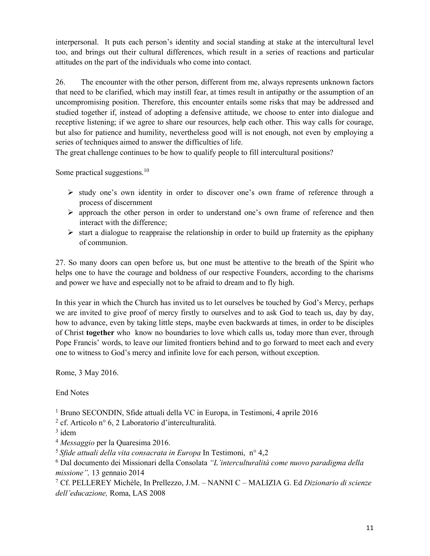interpersonal. It puts each person's identity and social standing at stake at the intercultural level too, and brings out their cultural differences, which result in a series of reactions and particular attitudes on the part of the individuals who come into contact.

26. The encounter with the other person, different from me, always represents unknown factors that need to be clarified, which may instill fear, at times result in antipathy or the assumption of an uncompromising position. Therefore, this encounter entails some risks that may be addressed and studied together if, instead of adopting a defensive attitude, we choose to enter into dialogue and receptive listening; if we agree to share our resources, help each other. This way calls for courage, but also for patience and humility, nevertheless good will is not enough, not even by employing a series of techniques aimed to answer the difficulties of life.

The great challenge continues to be how to qualify people to fill intercultural positions?

Some practical suggestions.<sup>10</sup>

- $\triangleright$  study one's own identity in order to discover one's own frame of reference through a process of discernment
- $\triangleright$  approach the other person in order to understand one's own frame of reference and then interact with the difference;
- $\triangleright$  start a dialogue to reappraise the relationship in order to build up fraternity as the epiphany of communion.

27. So many doors can open before us, but one must be attentive to the breath of the Spirit who helps one to have the courage and boldness of our respective Founders, according to the charisms and power we have and especially not to be afraid to dream and to fly high.

In this year in which the Church has invited us to let ourselves be touched by God's Mercy, perhaps we are invited to give proof of mercy firstly to ourselves and to ask God to teach us, day by day, how to advance, even by taking little steps, maybe even backwards at times, in order to be disciples of Christ **together** who know no boundaries to love which calls us, today more than ever, through Pope Francis' words, to leave our limited frontiers behind and to go forward to meet each and every one to witness to God's mercy and infinite love for each person, without exception.

Rome, 3 May 2016.

End Notes

<sup>1</sup> Bruno SECONDIN, Sfide attuali della VC in Europa, in Testimoni, 4 aprile 2016

<sup>2</sup> cf. Articolo n° 6, 2 Laboratorio d'interculturalità.

<sup>4</sup> *Messaggio* per la Quaresima 2016.

<sup>5</sup>*Sfide attuali della vita consacrata in Europa* In Testimoni, n° 4,2

<sup>6</sup> Dal documento dei Missionari della Consolata *"L'interculturalità come nuovo paradigma della missione",* 13 gennaio 2014

<sup>7</sup> Cf. PELLEREY Michèle, In Prellezzo, J.M. – NANNI C – MALIZIA G. Ed *Dizionario di scienze dell'educazione,* Roma, LAS 2008

 $3$  idem